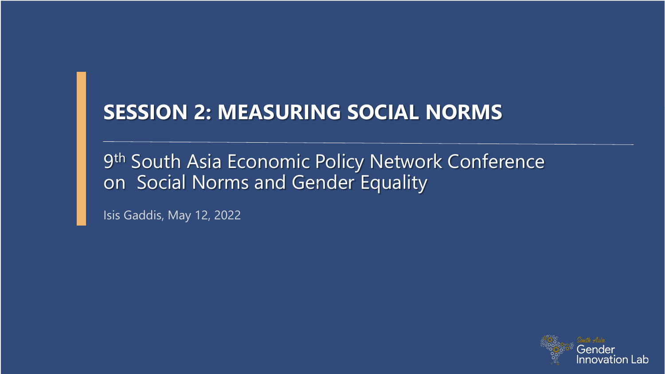#### **SESSION 2: MEASURING SOCIAL NORMS**

9<sup>th</sup> South Asia Economic Policy Network Conference on Social Norms and Gender Equality

Isis Gaddis, May 12, 2022

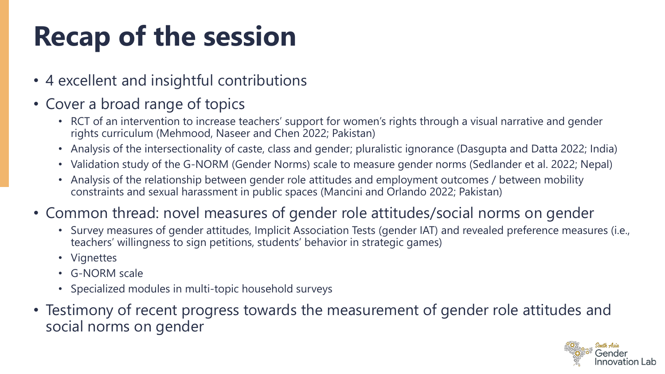## **Recap of the session**

- 4 excellent and insightful contributions
- Cover a broad range of topics
	- RCT of an intervention to increase teachers' support for women's rights through a visual narrative and gender rights curriculum (Mehmood, Naseer and Chen 2022; Pakistan)
	- Analysis of the intersectionality of caste, class and gender; pluralistic ignorance (Dasgupta and Datta 2022; India)
	- Validation study of the G-NORM (Gender Norms) scale to measure gender norms (Sedlander et al. 2022; Nepal)
	- Analysis of the relationship between gender role attitudes and employment outcomes / between mobility constraints and sexual harassment in public spaces (Mancini and Orlando 2022; Pakistan)
- Common thread: novel measures of gender role attitudes/social norms on gender
	- Survey measures of gender attitudes, Implicit Association Tests (gender IAT) and revealed preference measures (i.e., teachers' willingness to sign petitions, students' behavior in strategic games)
	- Vignettes
	- G-NORM scale
	- Specialized modules in multi-topic household surveys
- Testimony of recent progress towards the measurement of gender role attitudes and social norms on gender

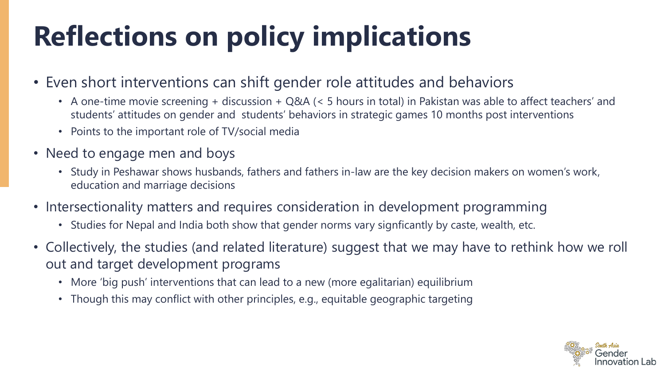# **Reflections on policy implications**

- Even short interventions can shift gender role attitudes and behaviors
	- A one-time movie screening + discussion + Q&A (< 5 hours in total) in Pakistan was able to affect teachers' and students' attitudes on gender and students' behaviors in strategic games 10 months post interventions
	- Points to the important role of TV/social media
- Need to engage men and boys
	- Study in Peshawar shows husbands, fathers and fathers in-law are the key decision makers on women's work, education and marriage decisions
- Intersectionality matters and requires consideration in development programming
	- Studies for Nepal and India both show that gender norms vary signficantly by caste, wealth, etc.
- Collectively, the studies (and related literature) suggest that we may have to rethink how we roll out and target development programs
	- More 'big push' interventions that can lead to a new (more egalitarian) equilibrium
	- Though this may conflict with other principles, e.g., equitable geographic targeting

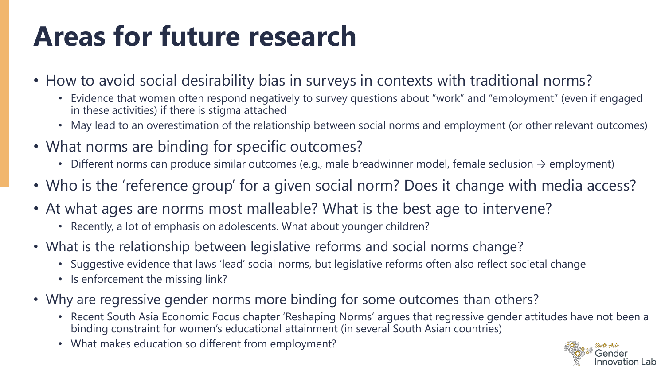## **Areas for future research**

- How to avoid social desirability bias in surveys in contexts with traditional norms?
	- Evidence that women often respond negatively to survey questions about "work" and "employment" (even if engaged in these activities) if there is stigma attached
	- May lead to an overestimation of the relationship between social norms and employment (or other relevant outcomes)
- What norms are binding for specific outcomes?
	- Different norms can produce similar outcomes (e.g., male breadwinner model, female seclusion  $\rightarrow$  employment)
- Who is the 'reference group' for a given social norm? Does it change with media access?
- At what ages are norms most malleable? What is the best age to intervene?
	- Recently, a lot of emphasis on adolescents. What about younger children?
- What is the relationship between legislative reforms and social norms change?
	- Suggestive evidence that laws 'lead' social norms, but legislative reforms often also reflect societal change
	- Is enforcement the missing link?
- Why are regressive gender norms more binding for some outcomes than others?
	- Recent South Asia Economic Focus chapter 'Reshaping Norms' argues that regressive gender attitudes have not been a binding constraint for women's educational attainment (in several South Asian countries)
	- What makes education so different from employment?